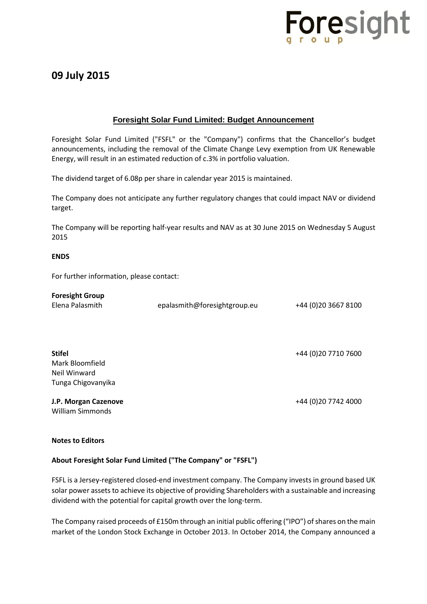

## **09 July 2015**

## **Foresight Solar Fund Limited: Budget Announcement**

Foresight Solar Fund Limited ("FSFL" or the "Company") confirms that the Chancellor's budget announcements, including the removal of the Climate Change Levy exemption from UK Renewable Energy, will result in an estimated reduction of c.3% in portfolio valuation.

The dividend target of 6.08p per share in calendar year 2015 is maintained.

The Company does not anticipate any further regulatory changes that could impact NAV or dividend target.

The Company will be reporting half-year results and NAV as at 30 June 2015 on Wednesday 5 August 2015

#### **ENDS**

For further information, please contact:

| <b>Foresight Group</b><br>Elena Palasmith                              | epalasmith@foresightgroup.eu | +44 (0) 20 3667 8100 |
|------------------------------------------------------------------------|------------------------------|----------------------|
| <b>Stifel</b><br>Mark Bloomfield<br>Neil Winward<br>Tunga Chigovanyika |                              | +44 (0) 20 7710 7600 |
| J.P. Morgan Cazenove<br>William Simmonds                               |                              | +44 (0) 20 7742 4000 |

#### **Notes to Editors**

#### **About Foresight Solar Fund Limited ("The Company" or "FSFL")**

FSFL is a Jersey-registered closed-end investment company. The Company invests in ground based UK solar power assets to achieve its objective of providing Shareholders with a sustainable and increasing dividend with the potential for capital growth over the long-term.

The Company raised proceeds of £150m through an initial public offering ("IPO") of shares on the main market of the London Stock Exchange in October 2013. In October 2014, the Company announced a